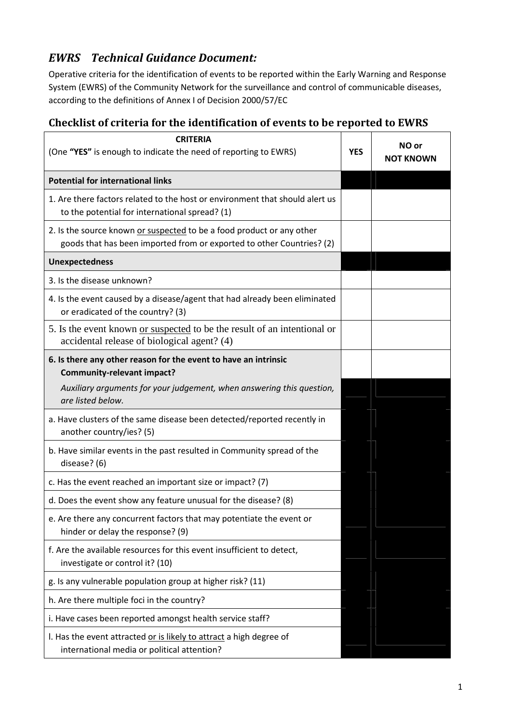## EWRS Technical Guidance Document:

Operative criteria for the identification of events to be reported within the Early Warning and Response System (EWRS) of the Community Network for the surveillance and control of communicable diseases, according to the definitions of Annex I of Decision 2000/57/EC

## Checklist of criteria for the identification of events to be reported to EWRS

| <b>CRITERIA</b><br>(One "YES" is enough to indicate the need of reporting to EWRS)                                                             | <b>YES</b> | NO or<br><b>NOT KNOWN</b> |
|------------------------------------------------------------------------------------------------------------------------------------------------|------------|---------------------------|
| <b>Potential for international links</b>                                                                                                       |            |                           |
| 1. Are there factors related to the host or environment that should alert us<br>to the potential for international spread? (1)                 |            |                           |
| 2. Is the source known or suspected to be a food product or any other<br>goods that has been imported from or exported to other Countries? (2) |            |                           |
| <b>Unexpectedness</b>                                                                                                                          |            |                           |
| 3. Is the disease unknown?                                                                                                                     |            |                           |
| 4. Is the event caused by a disease/agent that had already been eliminated<br>or eradicated of the country? (3)                                |            |                           |
| 5. Is the event known or suspected to be the result of an intentional or<br>accidental release of biological agent? (4)                        |            |                           |
| 6. Is there any other reason for the event to have an intrinsic<br><b>Community-relevant impact?</b>                                           |            |                           |
| Auxiliary arguments for your judgement, when answering this question,<br>are listed below.                                                     |            |                           |
| a. Have clusters of the same disease been detected/reported recently in<br>another country/ies? (5)                                            |            |                           |
| b. Have similar events in the past resulted in Community spread of the<br>disease? (6)                                                         |            |                           |
| c. Has the event reached an important size or impact? (7)                                                                                      |            |                           |
| d. Does the event show any feature unusual for the disease? (8)                                                                                |            |                           |
| e. Are there any concurrent factors that may potentiate the event or<br>hinder or delay the response? (9)                                      |            |                           |
| f. Are the available resources for this event insufficient to detect,<br>investigate or control it? (10)                                       |            |                           |
| g. Is any vulnerable population group at higher risk? (11)                                                                                     |            |                           |
| h. Are there multiple foci in the country?                                                                                                     |            |                           |
| i. Have cases been reported amongst health service staff?                                                                                      |            |                           |
| I. Has the event attracted or is likely to attract a high degree of<br>international media or political attention?                             |            |                           |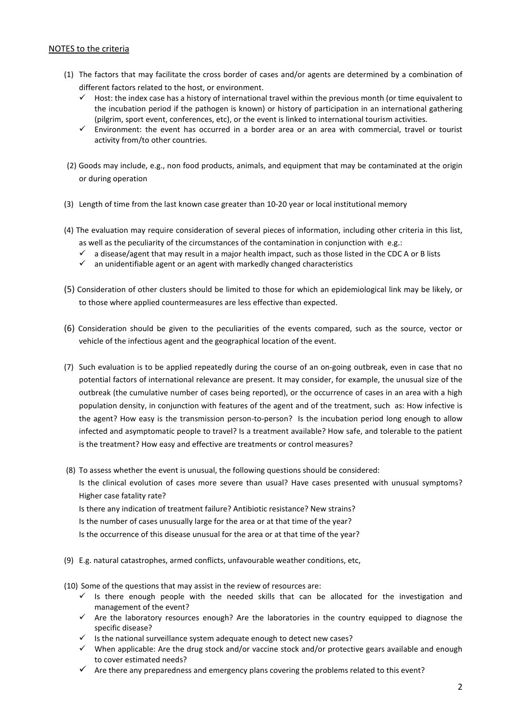## NOTES to the criteria

- (1) The factors that may facilitate the cross border of cases and/or agents are determined by a combination of different factors related to the host, or environment.
	- $\checkmark$  Host: the index case has a history of international travel within the previous month (or time equivalent to the incubation period if the pathogen is known) or history of participation in an international gathering (pilgrim, sport event, conferences, etc), or the event is linked to international tourism activities.
	- $\checkmark$  Environment: the event has occurred in a border area or an area with commercial, travel or tourist activity from/to other countries.
- (2) Goods may include, e.g., non food products, animals, and equipment that may be contaminated at the origin or during operation
- (3) Length of time from the last known case greater than 10-20 year or local institutional memory
- (4) The evaluation may require consideration of several pieces of information, including other criteria in this list, as well as the peculiarity of the circumstances of the contamination in conjunction with e.g.:
	- $\checkmark$  a disease/agent that may result in a major health impact, such as those listed in the CDC A or B lists
	- $\checkmark$  an unidentifiable agent or an agent with markedly changed characteristics
- (5) Consideration of other clusters should be limited to those for which an epidemiological link may be likely, or to those where applied countermeasures are less effective than expected.
- (6) Consideration should be given to the peculiarities of the events compared, such as the source, vector or vehicle of the infectious agent and the geographical location of the event.
- (7) Such evaluation is to be applied repeatedly during the course of an on-going outbreak, even in case that no potential factors of international relevance are present. It may consider, for example, the unusual size of the outbreak (the cumulative number of cases being reported), or the occurrence of cases in an area with a high population density, in conjunction with features of the agent and of the treatment, such as: How infective is the agent? How easy is the transmission person-to-person? Is the incubation period long enough to allow infected and asymptomatic people to travel? Is a treatment available? How safe, and tolerable to the patient is the treatment? How easy and effective are treatments or control measures?

 (8) To assess whether the event is unusual, the following questions should be considered: Is the clinical evolution of cases more severe than usual? Have cases presented with unusual symptoms? Higher case fatality rate? Is there any indication of treatment failure? Antibiotic resistance? New strains? Is the number of cases unusually large for the area or at that time of the year? Is the occurrence of this disease unusual for the area or at that time of the year?

(9) E.g. natural catastrophes, armed conflicts, unfavourable weather conditions, etc,

(10) Some of the questions that may assist in the review of resources are:

- $\checkmark$  is there enough people with the needed skills that can be allocated for the investigation and management of the event?
- $\checkmark$  Are the laboratory resources enough? Are the laboratories in the country equipped to diagnose the specific disease?
- $\checkmark$  is the national surveillance system adequate enough to detect new cases?
- $\checkmark$  When applicable: Are the drug stock and/or vaccine stock and/or protective gears available and enough to cover estimated needs?
- $\checkmark$  Are there any preparedness and emergency plans covering the problems related to this event?